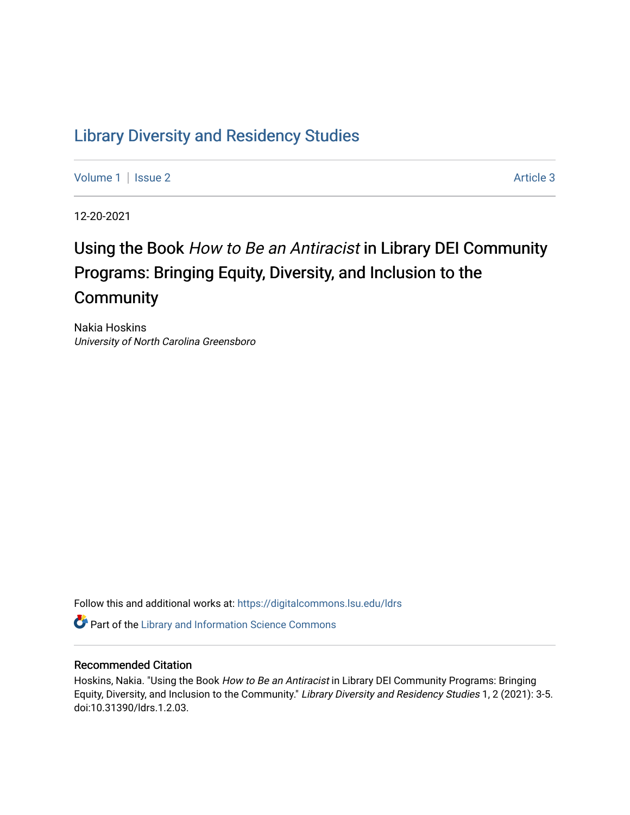## [Library Diversity and Residency Studies](https://digitalcommons.lsu.edu/ldrs)

[Volume 1](https://digitalcommons.lsu.edu/ldrs/vol1) | [Issue 2](https://digitalcommons.lsu.edu/ldrs/vol1/iss2) Article 3

12-20-2021

# Using the Book How to Be an Antiracist in Library DEI Community Programs: Bringing Equity, Diversity, and Inclusion to the **Community**

Nakia Hoskins University of North Carolina Greensboro

Follow this and additional works at: [https://digitalcommons.lsu.edu/ldrs](https://digitalcommons.lsu.edu/ldrs?utm_source=digitalcommons.lsu.edu%2Fldrs%2Fvol1%2Fiss2%2F3&utm_medium=PDF&utm_campaign=PDFCoverPages) 

**P** Part of the Library and Information Science Commons

#### Recommended Citation

Hoskins, Nakia. "Using the Book How to Be an Antiracist in Library DEI Community Programs: Bringing Equity, Diversity, and Inclusion to the Community." Library Diversity and Residency Studies 1, 2 (2021): 3-5. doi:10.31390/ldrs.1.2.03.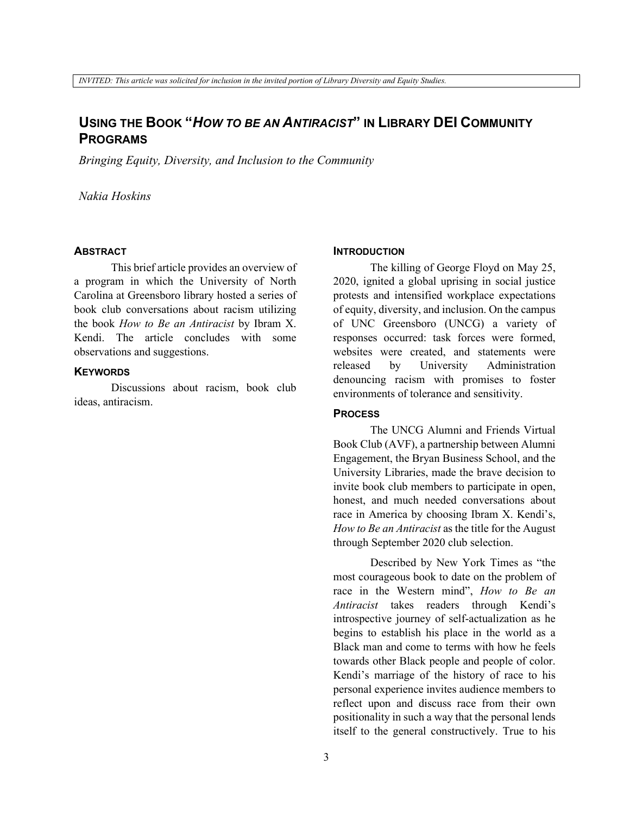### **USING THE BOOK "***HOW TO BE AN ANTIRACIST***" IN LIBRARY DEI COMMUNITY PROGRAMS**

*Bringing Equity, Diversity, and Inclusion to the Community*

*Nakia Hoskins* 

#### **ABSTRACT**

This brief article provides an overview of a program in which the University of North Carolina at Greensboro library hosted a series of book club conversations about racism utilizing the book *How to Be an Antiracist* by Ibram X. Kendi. The article concludes with some observations and suggestions.

#### **KEYWORDS**

Discussions about racism, book club ideas, antiracism.

#### **INTRODUCTION**

The killing of George Floyd on May 25, 2020, ignited a global uprising in social justice protests and intensified workplace expectations of equity, diversity, and inclusion. On the campus of UNC Greensboro (UNCG) a variety of responses occurred: task forces were formed, websites were created, and statements were released by University Administration denouncing racism with promises to foster environments of tolerance and sensitivity.

#### **PROCESS**

The UNCG Alumni and Friends Virtual Book Club (AVF), a partnership between Alumni Engagement, the Bryan Business School, and the University Libraries, made the brave decision to invite book club members to participate in open, honest, and much needed conversations about race in America by choosing Ibram X. Kendi's, *How to Be an Antiracist* as the title for the August through September 2020 club selection.

Described by New York Times as "the most courageous book to date on the problem of race in the Western mind", *How to Be an Antiracist* takes readers through Kendi's introspective journey of self-actualization as he begins to establish his place in the world as a Black man and come to terms with how he feels towards other Black people and people of color. Kendi's marriage of the history of race to his personal experience invites audience members to reflect upon and discuss race from their own positionality in such a way that the personal lends itself to the general constructively. True to his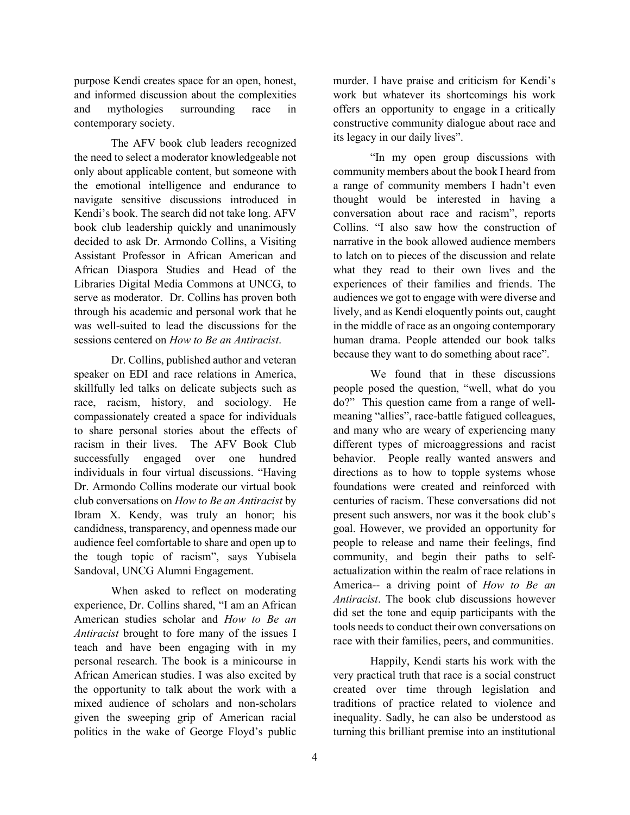purpose Kendi creates space for an open, honest, and informed discussion about the complexities and mythologies surrounding race in contemporary society.

The AFV book club leaders recognized the need to select a moderator knowledgeable not only about applicable content, but someone with the emotional intelligence and endurance to navigate sensitive discussions introduced in Kendi's book. The search did not take long. AFV book club leadership quickly and unanimously decided to ask Dr. Armondo Collins, a Visiting Assistant Professor in African American and African Diaspora Studies and Head of the Libraries Digital Media Commons at UNCG, to serve as moderator. Dr. Collins has proven both through his academic and personal work that he was well-suited to lead the discussions for the sessions centered on *How to Be an Antiracist*.

Dr. Collins, published author and veteran speaker on EDI and race relations in America, skillfully led talks on delicate subjects such as race, racism, history, and sociology. He compassionately created a space for individuals to share personal stories about the effects of racism in their lives. The AFV Book Club successfully engaged over one hundred individuals in four virtual discussions. "Having Dr. Armondo Collins moderate our virtual book club conversations on *How to Be an Antiracist* by Ibram X. Kendy, was truly an honor; his candidness, transparency, and openness made our audience feel comfortable to share and open up to the tough topic of racism", says Yubisela Sandoval, UNCG Alumni Engagement.

When asked to reflect on moderating experience, Dr. Collins shared, "I am an African American studies scholar and *How to Be an Antiracist* brought to fore many of the issues I teach and have been engaging with in my personal research. The book is a minicourse in African American studies. I was also excited by the opportunity to talk about the work with a mixed audience of scholars and non-scholars given the sweeping grip of American racial politics in the wake of George Floyd's public

murder. I have praise and criticism for Kendi's work but whatever its shortcomings his work offers an opportunity to engage in a critically constructive community dialogue about race and its legacy in our daily lives".

"In my open group discussions with community members about the book I heard from a range of community members I hadn't even thought would be interested in having a conversation about race and racism", reports Collins. "I also saw how the construction of narrative in the book allowed audience members to latch on to pieces of the discussion and relate what they read to their own lives and the experiences of their families and friends. The audiences we got to engage with were diverse and lively, and as Kendi eloquently points out, caught in the middle of race as an ongoing contemporary human drama. People attended our book talks because they want to do something about race".

We found that in these discussions people posed the question, "well, what do you do?" This question came from a range of wellmeaning "allies", race-battle fatigued colleagues, and many who are weary of experiencing many different types of microaggressions and racist behavior. People really wanted answers and directions as to how to topple systems whose foundations were created and reinforced with centuries of racism. These conversations did not present such answers, nor was it the book club's goal. However, we provided an opportunity for people to release and name their feelings, find community, and begin their paths to selfactualization within the realm of race relations in America-- a driving point of *How to Be an Antiracist*. The book club discussions however did set the tone and equip participants with the tools needs to conduct their own conversations on race with their families, peers, and communities.

Happily, Kendi starts his work with the very practical truth that race is a social construct created over time through legislation and traditions of practice related to violence and inequality. Sadly, he can also be understood as turning this brilliant premise into an institutional